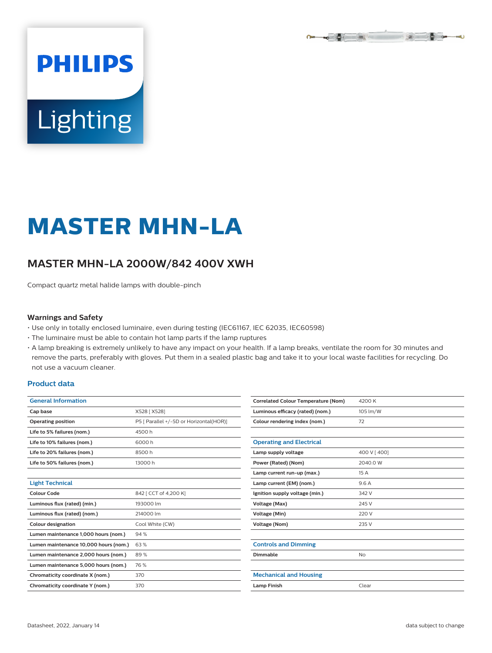

# **Lighting**

**PHILIPS** 

# **MASTER MHN-LA**

# **MASTER MHN-LA 2000W/842 400V XWH**

Compact quartz metal halide lamps with double-pinch

#### **Warnings and Safety**

- Use only in totally enclosed luminaire, even during testing (IEC61167, IEC 62035, IEC60598)
- The luminaire must be able to contain hot lamp parts if the lamp ruptures
- A lamp breaking is extremely unlikely to have any impact on your health. If a lamp breaks, ventilate the room for 30 minutes and remove the parts, preferably with gloves. Put them in a sealed plastic bag and take it to your local waste facilities for recycling. Do not use a vacuum cleaner.

#### **Product data**

| <b>General Information</b>            |                                         |  |  |  |  |
|---------------------------------------|-----------------------------------------|--|--|--|--|
| Cap base                              | X528 [X528]                             |  |  |  |  |
| <b>Operating position</b>             | P5 [ Parallel +/-5D or Horizontal(HOR)] |  |  |  |  |
| Life to 5% failures (nom.)            | 4500h                                   |  |  |  |  |
| Life to 10% failures (nom.)           | 6000h                                   |  |  |  |  |
| Life to 20% failures (nom.)           | 8500h                                   |  |  |  |  |
| Life to 50% failures (nom.)           | 13000h                                  |  |  |  |  |
|                                       |                                         |  |  |  |  |
| <b>Light Technical</b>                |                                         |  |  |  |  |
| Colour Code                           | 842 [ CCT of 4,200 K]                   |  |  |  |  |
| Luminous flux (rated) (min.)          | 193000 lm                               |  |  |  |  |
| Luminous flux (rated) (nom.)          | 214000 lm                               |  |  |  |  |
| <b>Colour designation</b>             | Cool White (CW)                         |  |  |  |  |
| Lumen maintenance 1,000 hours (nom.)  | 94%                                     |  |  |  |  |
| Lumen maintenance 10,000 hours (nom.) | 63%                                     |  |  |  |  |
| Lumen maintenance 2,000 hours (nom.)  | 89%                                     |  |  |  |  |
| Lumen maintenance 5,000 hours (nom.)  | 76%                                     |  |  |  |  |
| Chromaticity coordinate X (nom.)      | 370                                     |  |  |  |  |
| Chromaticity coordinate Y (nom.)      | 370                                     |  |  |  |  |

| <b>Correlated Colour Temperature (Nom)</b> | 4200 K      |  |  |  |
|--------------------------------------------|-------------|--|--|--|
| Luminous efficacy (rated) (nom.)           | 105 lm/W    |  |  |  |
| Colour rendering index (nom.)              | 72          |  |  |  |
|                                            |             |  |  |  |
| <b>Operating and Electrical</b>            |             |  |  |  |
| Lamp supply voltage                        | 400 V [400] |  |  |  |
| Power (Rated) (Nom)                        | 2040.0 W    |  |  |  |
| Lamp current run-up (max.)                 | 15A         |  |  |  |
| Lamp current (EM) (nom.)                   | 9.6 A       |  |  |  |
| Ignition supply voltage (min.)             | 342 V       |  |  |  |
| Voltage (Max)                              | 245 V       |  |  |  |
| <b>Voltage (Min)</b>                       | 220 V       |  |  |  |
| <b>Voltage (Nom)</b>                       | 235 V       |  |  |  |
|                                            |             |  |  |  |
| <b>Controls and Dimming</b>                |             |  |  |  |
| Dimmable                                   | No          |  |  |  |
|                                            |             |  |  |  |
| <b>Mechanical and Housing</b>              |             |  |  |  |
| <b>Lamp Finish</b>                         | Clear       |  |  |  |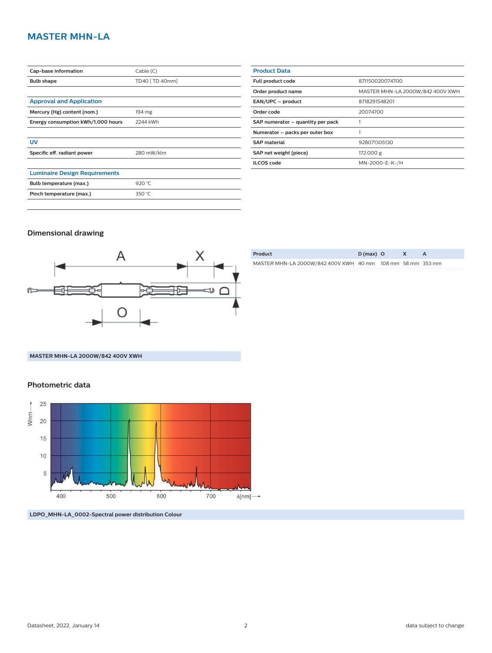# **MASTER MHN-LA**

| Cap-base information                 | Cable(C)        |  |  |  |
|--------------------------------------|-----------------|--|--|--|
| <b>Bulb shape</b>                    | TD40 [ TD 40mm] |  |  |  |
|                                      |                 |  |  |  |
| <b>Approval and Application</b>      |                 |  |  |  |
| Mercury (Hg) content (nom.)          | 194 mg          |  |  |  |
| Energy consumption kWh/1,000 hours   | 2244 kWh        |  |  |  |
|                                      |                 |  |  |  |
| UV                                   |                 |  |  |  |
| Specific eff. radiant power          | 280 mW/klm      |  |  |  |
|                                      |                 |  |  |  |
| <b>Luminaire Design Requirements</b> |                 |  |  |  |
| Bulb temperature (max.)              | 920 $°C$        |  |  |  |
| Pinch temperature (max.)             | 350 $°C$        |  |  |  |
|                                      |                 |  |  |  |

| <b>Product Data</b>               |                                  |  |  |  |  |
|-----------------------------------|----------------------------------|--|--|--|--|
| Full product code                 | 871150020074700                  |  |  |  |  |
| Order product name                | MASTER MHN-LA 2000W/842 400V XWH |  |  |  |  |
| EAN/UPC - product                 | 8718291548201                    |  |  |  |  |
| Order code                        | 20074700                         |  |  |  |  |
| SAP numerator - quantity per pack |                                  |  |  |  |  |
| Numerator - packs per outer box   |                                  |  |  |  |  |
| <b>SAP material</b>               | 928071305130                     |  |  |  |  |
| SAP net weight (piece)            | 172.000 g                        |  |  |  |  |
| <b>ILCOS</b> code                 | MN-2000-E-K-/H                   |  |  |  |  |
|                                   |                                  |  |  |  |  |

### **Dimensional drawing**



| Product                                                    | $D(max)$ O |  |  |
|------------------------------------------------------------|------------|--|--|
| MASTER MHN-LA 2000W/842 400V XWH 40 mm 108 mm 58 mm 353 mm |            |  |  |

### **MASTER MHN-LA 2000W/842 400V XWH**

## **Photometric data**